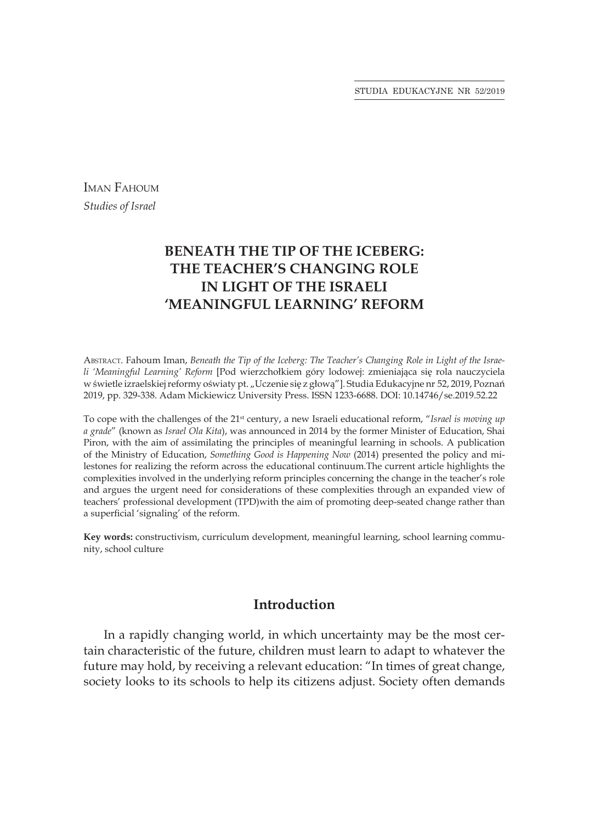STUDIA EDUKACYJNE NR 52/2019

IMAN FAHOUM *Studies of Israel*

# **BENEATH THE TIP OF THE ICEBERG: THE TEACHER'S CHANGING ROLE IN LIGHT OF THE ISRAELI 'MEANINGFUL LEARNING' REFORM**

Abstract. Fahoum Iman, *Beneath the Tip of the Iceberg: The Teacher's Changing Role in Light of the Israeli 'Meaningful Learning' Reform* [Pod wierzchołkiem góry lodowej: zmieniająca się rola nauczyciela w świetle izraelskiej reformy oświaty pt. "Uczenie się z głową"]. Studia Edukacyjne nr 52, 2019, Poznań 2019, pp. 329-338. Adam Mickiewicz University Press. ISSN 1233-6688. DOI: 10.14746/se.2019.52.22

To cope with the challenges of the 21<sup>st</sup> century, a new Israeli educational reform, "*Israel is moving up a grade*" (known as *Israel Ola Kita*), was announced in 2014 by the former Minister of Education, Shai Piron, with the aim of assimilating the principles of meaningful learning in schools. A publication of the Ministry of Education, *Something Good is Happening Now* (2014) presented the policy and milestones for realizing the reform across the educational continuum.The current article highlights the complexities involved in the underlying reform principles concerning the change in the teacher's role and argues the urgent need for considerations of these complexities through an expanded view of teachers' professional development (TPD)with the aim of promoting deep-seated change rather than a superficial 'signaling' of the reform.

**Key words:** constructivism, curriculum development, meaningful learning, school learning community, school culture

#### **Introduction**

In a rapidly changing world, in which uncertainty may be the most certain characteristic of the future, children must learn to adapt to whatever the future may hold, by receiving a relevant education: "In times of great change, society looks to its schools to help its citizens adjust. Society often demands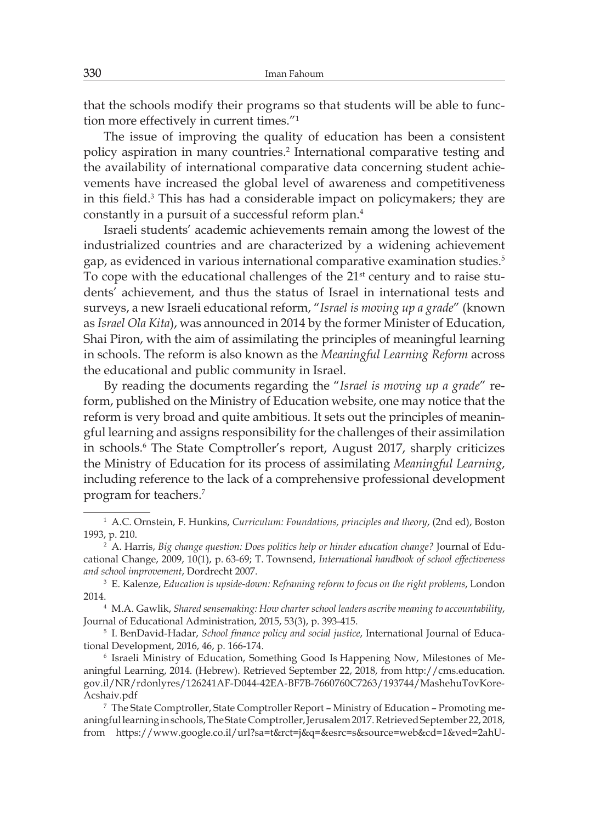that the schools modify their programs so that students will be able to function more effectively in current times."<sup>1</sup>

The issue of improving the quality of education has been a consistent policy aspiration in many countries.<sup>2</sup> International comparative testing and the availability of international comparative data concerning student achievements have increased the global level of awareness and competitiveness in this field.<sup>3</sup> This has had a considerable impact on policymakers; they are constantly in a pursuit of a successful reform plan.<sup>4</sup>

Israeli students' academic achievements remain among the lowest of the industrialized countries and are characterized by a widening achievement gap, as evidenced in various international comparative examination studies.<sup>5</sup> To cope with the educational challenges of the 21<sup>st</sup> century and to raise students' achievement, and thus the status of Israel in international tests and surveys, a new Israeli educational reform, "*Israel is moving up a grade*" (known as *Israel Ola Kita*), was announced in 2014 by the former Minister of Education, Shai Piron, with the aim of assimilating the principles of meaningful learning in schools. The reform is also known as the *Meaningful Learning Reform* across the educational and public community in Israel.

By reading the documents regarding the "*Israel is moving up a grade*" reform, published on the Ministry of Education website, one may notice that the reform is very broad and quite ambitious. It sets out the principles of meaningful learning and assigns responsibility for the challenges of their assimilation in schools.<sup>6</sup> The State Comptroller's report, August 2017, sharply criticizes the Ministry of Education for its process of assimilating *Meaningful Learning*, including reference to the lack of a comprehensive professional development program for teachers.<sup>7</sup>

<sup>1</sup> A.C. Ornstein, F. Hunkins, *Curriculum: Foundations, principles and theory*, (2nd ed), Boston 1993, p. 210.

<sup>2</sup> A. Harris, *Big change question: Does politics help or hinder education change?* Journal of Educational Change, 2009, 10(1), p. 63-69; T. Townsend, *International handbook of school effectiveness and school improvement*, Dordrecht 2007.

<sup>3</sup> E. Kalenze, *Education is upside-down: Reframing reform to focus on the right problems*, London 2014.

<sup>4</sup> M.A. Gawlik, *Shared sensemaking: How charter school leaders ascribe meaning to accountability*, Journal of Educational Administration, 2015, 53(3), p. 393-415.

<sup>5</sup> I. BenDavid-Hadar, *School finance policy and social justice*, International Journal of Educational Development, 2016, 46, p. 166-174.

<sup>6</sup> Israeli Ministry of Education, Something Good Is Happening Now, Milestones of Meaningful Learning, 2014. (Hebrew). Retrieved September 22, 2018, from http://cms.education. gov.il/NR/rdonlyres/126241AF-D044-42EA-BF7B-7660760C7263/193744/MashehuTovKore-Acshaiv.pdf

<sup>7</sup> The State Comptroller, State Comptroller Report – Ministry of Education – Promoting meaningful learning in schools, The State Comptroller, Jerusalem 2017. Retrieved September 22, 2018, from https://www.google.co.il/url?sa=t&rct=j&q=&esrc=s&source=web&cd=1&ved=2ahU-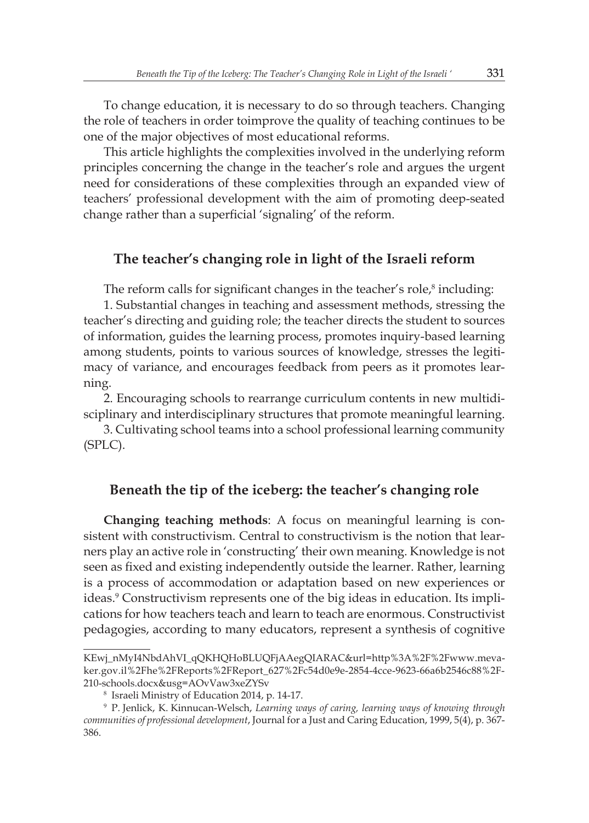To change education, it is necessary to do so through teachers. Changing the role of teachers in order toimprove the quality of teaching continues to be one of the major objectives of most educational reforms.

This article highlights the complexities involved in the underlying reform principles concerning the change in the teacher's role and argues the urgent need for considerations of these complexities through an expanded view of teachers' professional development with the aim of promoting deep-seated change rather than a superficial 'signaling' of the reform.

## **The teacher's changing role in light of the Israeli reform**

The reform calls for significant changes in the teacher's role, $^s$  including:

1. Substantial changes in teaching and assessment methods, stressing the teacher's directing and guiding role; the teacher directs the student to sources of information, guides the learning process, promotes inquiry-based learning among students, points to various sources of knowledge, stresses the legitimacy of variance, and encourages feedback from peers as it promotes learning.

2. Encouraging schools to rearrange curriculum contents in new multidisciplinary and interdisciplinary structures that promote meaningful learning.

3. Cultivating school teams into a school professional learning community (SPLC).

## **Beneath the tip of the iceberg: the teacher's changing role**

**Changing teaching methods**: A focus on meaningful learning is consistent with constructivism. Central to constructivism is the notion that learners play an active role in 'constructing' their own meaning. Knowledge is not seen as fixed and existing independently outside the learner. Rather, learning is a process of accommodation or adaptation based on new experiences or ideas.<sup>9</sup> Constructivism represents one of the big ideas in education. Its implications for how teachers teach and learn to teach are enormous. Constructivist pedagogies, according to many educators, represent a synthesis of cognitive

KEwj\_nMyI4NbdAhVI\_qQKHQHoBLUQFjAAegQIARAC&url=http%3A%2F%2Fwww.mevaker.gov.il%2Fhe%2FReports%2FReport\_627%2Fc54d0e9e-2854-4cce-9623-66a6b2546c88%2F-210-schools.docx&usg=AOvVaw3xeZYSv

<sup>8</sup> Israeli Ministry of Education 2014, p. 14-17.

<sup>9</sup> P. Jenlick, K. Kinnucan-Welsch, *Learning ways of caring, learning ways of knowing through communities of professional development*, Journal for a Just and Caring Education, 1999, 5(4), p. 367- 386.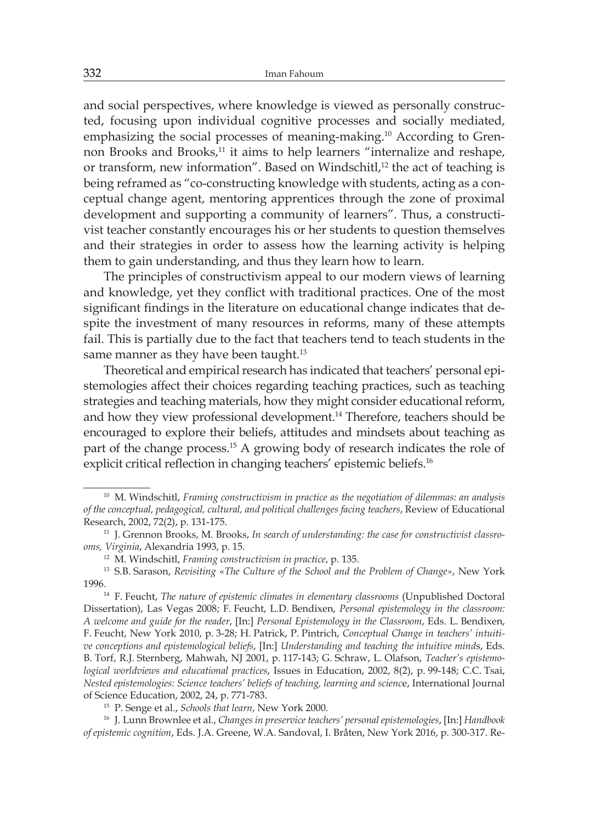and social perspectives, where knowledge is viewed as personally constructed, focusing upon individual cognitive processes and socially mediated, emphasizing the social processes of meaning-making.10 According to Grennon Brooks and Brooks,<sup>11</sup> it aims to help learners "internalize and reshape, or transform, new information". Based on Windschitl,<sup>12</sup> the act of teaching is being reframed as "co-constructing knowledge with students, acting as a conceptual change agent, mentoring apprentices through the zone of proximal development and supporting a community of learners". Thus, a constructivist teacher constantly encourages his or her students to question themselves and their strategies in order to assess how the learning activity is helping them to gain understanding, and thus they learn how to learn.

The principles of constructivism appeal to our modern views of learning and knowledge, yet they conflict with traditional practices. One of the most significant findings in the literature on educational change indicates that despite the investment of many resources in reforms, many of these attempts fail. This is partially due to the fact that teachers tend to teach students in the same manner as they have been taught.<sup>13</sup>

Theoretical and empirical research has indicated that teachers' personal epistemologies affect their choices regarding teaching practices, such as teaching strategies and teaching materials, how they might consider educational reform, and how they view professional development.<sup>14</sup> Therefore, teachers should be encouraged to explore their beliefs, attitudes and mindsets about teaching as part of the change process.<sup>15</sup> A growing body of research indicates the role of explicit critical reflection in changing teachers' epistemic beliefs.<sup>16</sup>

<sup>10</sup> M. Windschitl, *Framing constructivism in practice as the negotiation of dilemmas: an analysis of the conceptual, pedagogical, cultural, and political challenges facing teachers*, Review of Educational Research, 2002, 72(2), p. 131-175.

<sup>11</sup> J. Grennon Brooks, M. Brooks, *In search of understanding: the case for constructivist classrooms, Virginia*, Alexandria 1993, p. 15.

<sup>12</sup> M. Windschitl, *Framing constructivism in practice*, p. 135.

<sup>13</sup> S.B. Sarason, *Revisiting «The Culture of the School and the Problem of Change»*, New York 1996.

<sup>14</sup> F. Feucht, *The nature of epistemic climates in elementary classrooms* (Unpublished Doctoral Dissertation), Las Vegas 2008; F. Feucht, L.D. Bendixen, *Personal epistemology in the classroom: A welcome and guide for the reader*, [In:] *Personal Epistemology in the Classroom*, Eds. L. Bendixen, F. Feucht, New York 2010, p. 3-28; H. Patrick, P. Pintrich, *Conceptual Change in teachers' intuitive conceptions and epistemological beliefs*, [In:] *Understanding and teaching the intuitive mind*s, Eds. B. Torf, R.J. Sternberg, Mahwah, NJ 2001, p. 117-143; G. Schraw, L. Olafson, *Teacher's epistemological worldviews and educational practices*, Issues in Education, 2002, 8(2), p. 99-148; C.C. Tsai, *Nested epistemologies: Science teachers' beliefs of teaching, learning and scienc*e, International Journal of Science Education, 2002, 24, p. 771-783.

<sup>15</sup> P. Senge et al., *Schools that learn*, New York 2000.

<sup>16</sup> J. Lunn Brownlee et al., *Changes in preservice teachers' personal epistemologies*, [In:] *Handbook of epistemic cognition*, Eds. J.A. Greene, W.A. Sandoval, I. Bråten, New York 2016, p. 300-317. Re-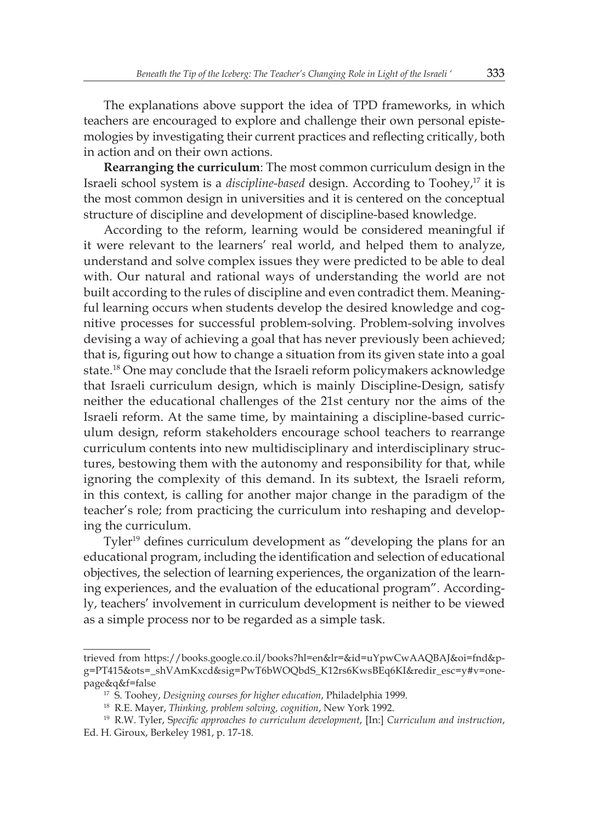The explanations above support the idea of TPD frameworks, in which teachers are encouraged to explore and challenge their own personal epistemologies by investigating their current practices and reflecting critically, both in action and on their own actions.

**Rearranging the curriculum**: The most common curriculum design in the Israeli school system is a *discipline-based* design. According to Toohey,17 it is the most common design in universities and it is centered on the conceptual structure of discipline and development of discipline-based knowledge.

According to the reform, learning would be considered meaningful if it were relevant to the learners' real world, and helped them to analyze, understand and solve complex issues they were predicted to be able to deal with. Our natural and rational ways of understanding the world are not built according to the rules of discipline and even contradict them. Meaningful learning occurs when students develop the desired knowledge and cognitive processes for successful problem-solving. Problem-solving involves devising a way of achieving a goal that has never previously been achieved; that is, figuring out how to change a situation from its given state into a goal state.<sup>18</sup> One may conclude that the Israeli reform policymakers acknowledge that Israeli curriculum design, which is mainly Discipline-Design, satisfy neither the educational challenges of the 21st century nor the aims of the Israeli reform. At the same time, by maintaining a discipline-based curriculum design, reform stakeholders encourage school teachers to rearrange curriculum contents into new multidisciplinary and interdisciplinary structures, bestowing them with the autonomy and responsibility for that, while ignoring the complexity of this demand. In its subtext, the Israeli reform, in this context, is calling for another major change in the paradigm of the teacher's role; from practicing the curriculum into reshaping and developing the curriculum.

Tyler<sup>19</sup> defines curriculum development as "developing the plans for an educational program, including the identification and selection of educational objectives, the selection of learning experiences, the organization of the learning experiences, and the evaluation of the educational program". Accordingly, teachers' involvement in curriculum development is neither to be viewed as a simple process nor to be regarded as a simple task.

trieved from https://books.google.co.il/books?hl=en&lr=&id=uYpwCwAAQBAJ&oi=fnd&pg=PT415&ots=\_shVAmKxcd&sig=PwT6bWOQbdS\_K12rs6KwsBEq6KI&redir\_esc=y#v=onepage&q&f=false

<sup>17</sup> S. Toohey, *Designing courses for higher education*, Philadelphia 1999.

<sup>18</sup> R.E. Mayer, *Thinking, problem solving, cognition*, New York 1992.

<sup>19</sup> R.W. Tyler, S*pecific approaches to curriculum development*, [In:] *Curriculum and instruction*, Ed. H. Giroux, Berkeley 1981, p. 17-18.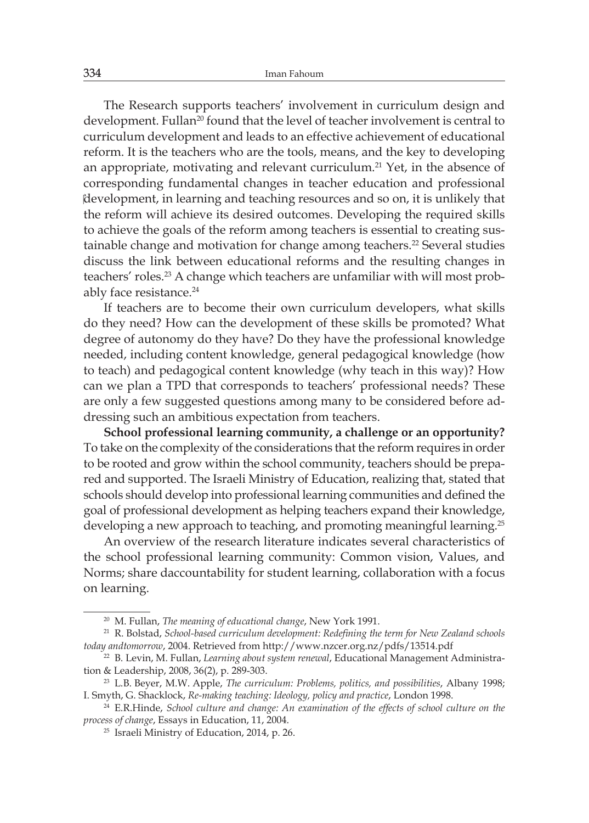The Research supports teachers' involvement in curriculum design and development. Fullan<sup>20</sup> found that the level of teacher involvement is central to curriculum development and leads to an effective achievement of educational reform. It is the teachers who are the tools, means, and the key to developing an appropriate, motivating and relevant curriculum.<sup>21</sup> Yet, in the absence of corresponding fundamental changes in teacher education and professional development, in learning and teaching resources and so on, it is unlikely that the reform will achieve its desired outcomes. Developing the required skills to achieve the goals of the reform among teachers is essential to creating sustainable change and motivation for change among teachers.<sup>22</sup> Several studies discuss the link between educational reforms and the resulting changes in teachers' roles.<sup>23</sup> A change which teachers are unfamiliar with will most probably face resistance.<sup>24</sup>

If teachers are to become their own curriculum developers, what skills do they need? How can the development of these skills be promoted? What degree of autonomy do they have? Do they have the professional knowledge needed, including content knowledge, general pedagogical knowledge (how to teach) and pedagogical content knowledge (why teach in this way)? How can we plan a TPD that corresponds to teachers' professional needs? These are only a few suggested questions among many to be considered before addressing such an ambitious expectation from teachers.

**School professional learning community, a challenge or an opportunity?** To take on the complexity of the considerations that the reform requires in order to be rooted and grow within the school community, teachers should be prepared and supported. The Israeli Ministry of Education, realizing that, stated that schools should develop into professional learning communities and defined the goal of professional development as helping teachers expand their knowledge, developing a new approach to teaching, and promoting meaningful learning.<sup>25</sup>

An overview of the research literature indicates several characteristics of the school professional learning community: Common vision, Values, and Norms; share daccountability for student learning, collaboration with a focus on learning.

<sup>20</sup> M. Fullan, *The meaning of educational change*, New York 1991.

<sup>21</sup> R. Bolstad, *School-based curriculum development: Redefining the term for New Zealand schools today andtomorrow*, 2004. Retrieved from http://www.nzcer.org.nz/pdfs/13514.pdf

<sup>22</sup> B. Levin, M. Fullan, *Learning about system renewal*, Educational Management Administration & Leadership, 2008, 36(2), p. 289-303.

<sup>23</sup> L.B. Beyer, M.W. Apple, *The curriculum: Problems, politics, and possibilities*, Albany 1998; I. Smyth, G. Shacklock, *Re-making teaching: Ideology, policy and practice*, London 1998.

<sup>24</sup> E.R.Hinde, *School culture and change: An examination of the effects of school culture on the process of change*, Essays in Education, 11, 2004.

<sup>25</sup> Israeli Ministry of Education, 2014, p. 26.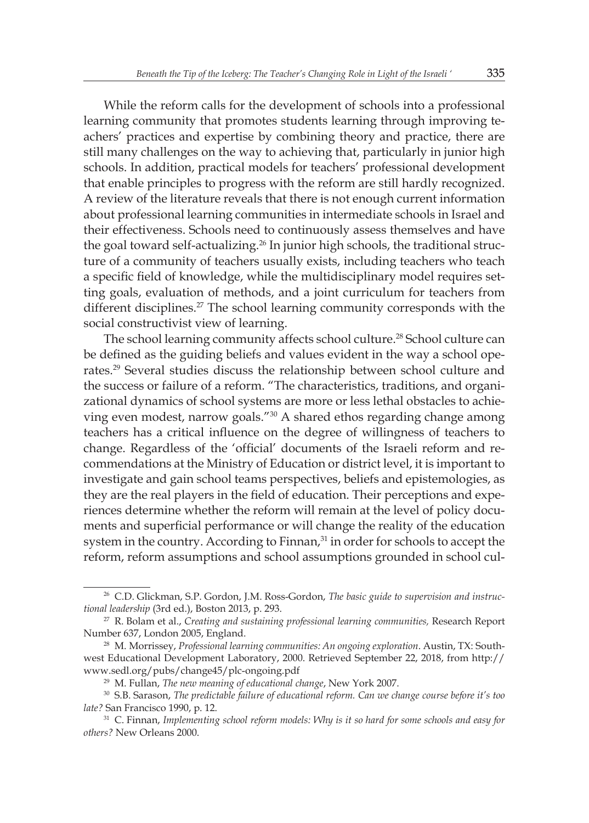While the reform calls for the development of schools into a professional learning community that promotes students learning through improving teachers' practices and expertise by combining theory and practice, there are still many challenges on the way to achieving that, particularly in junior high schools. In addition, practical models for teachers' professional development that enable principles to progress with the reform are still hardly recognized. A review of the literature reveals that there is not enough current information about professional learning communities in intermediate schools in Israel and their effectiveness. Schools need to continuously assess themselves and have the goal toward self-actualizing.<sup>26</sup> In junior high schools, the traditional structure of a community of teachers usually exists, including teachers who teach a specific field of knowledge, while the multidisciplinary model requires setting goals, evaluation of methods, and a joint curriculum for teachers from different disciplines.<sup>27</sup> The school learning community corresponds with the social constructivist view of learning.

The school learning community affects school culture.<sup>28</sup> School culture can be defined as the guiding beliefs and values evident in the way a school operates.<sup>29</sup> Several studies discuss the relationship between school culture and the success or failure of a reform. "The characteristics, traditions, and organizational dynamics of school systems are more or less lethal obstacles to achieving even modest, narrow goals."<sup>30</sup> A shared ethos regarding change among teachers has a critical influence on the degree of willingness of teachers to change. Regardless of the 'official' documents of the Israeli reform and recommendations at the Ministry of Education or district level, it is important to investigate and gain school teams perspectives, beliefs and epistemologies, as they are the real players in the field of education. Their perceptions and experiences determine whether the reform will remain at the level of policy documents and superficial performance or will change the reality of the education system in the country. According to Finnan,<sup>31</sup> in order for schools to accept the reform, reform assumptions and school assumptions grounded in school cul-

<sup>26</sup> C.D. Glickman, S.P. Gordon, J.M. Ross-Gordon, *The basic guide to supervision and instructional leadership* (3rd ed.), Boston 2013, p. 293.

<sup>27</sup> R. Bolam et al., *Creating and sustaining professional learning communities,* Research Report Number 637, London 2005, England.

<sup>28</sup> M. Morrissey, *Professional learning communities: An ongoing exploration*. Austin, TX: Southwest Educational Development Laboratory, 2000. Retrieved September 22, 2018, from http:// www.sedl.org/pubs/change45/plc-ongoing.pdf

<sup>29</sup> M. Fullan, *The new meaning of educational change*, New York 2007.

<sup>30</sup> S.B. Sarason, *The predictable failure of educational reform. Can we change course before it's too late?* San Francisco 1990, p. 12.

<sup>31</sup> C. Finnan, *Implementing school reform models: Why is it so hard for some schools and easy for others?* New Orleans 2000.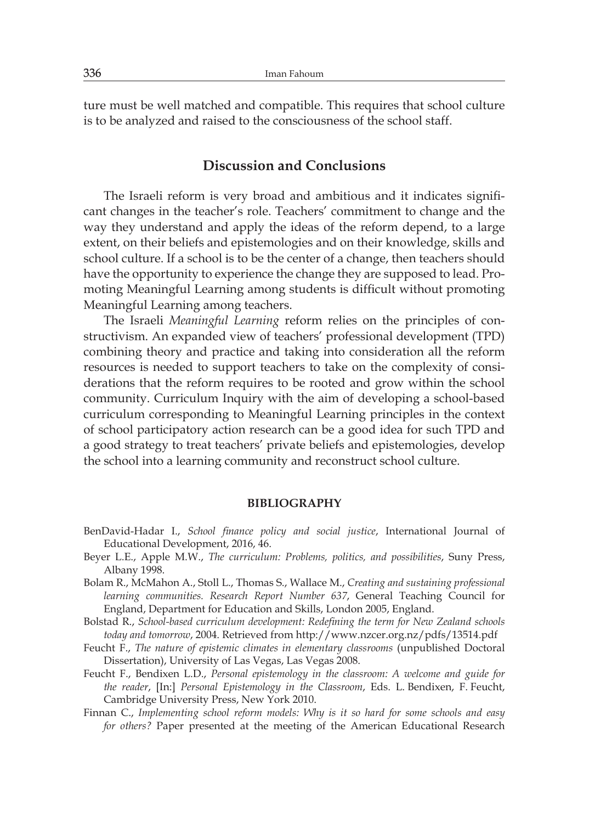ture must be well matched and compatible. This requires that school culture is to be analyzed and raised to the consciousness of the school staff.

#### **Discussion and Conclusions**

The Israeli reform is very broad and ambitious and it indicates significant changes in the teacher's role. Teachers' commitment to change and the way they understand and apply the ideas of the reform depend, to a large extent, on their beliefs and epistemologies and on their knowledge, skills and school culture. If a school is to be the center of a change, then teachers should have the opportunity to experience the change they are supposed to lead. Promoting Meaningful Learning among students is difficult without promoting Meaningful Learning among teachers.

The Israeli *Meaningful Learning* reform relies on the principles of constructivism. An expanded view of teachers' professional development (TPD) combining theory and practice and taking into consideration all the reform resources is needed to support teachers to take on the complexity of considerations that the reform requires to be rooted and grow within the school community. Curriculum Inquiry with the aim of developing a school-based curriculum corresponding to Meaningful Learning principles in the context of school participatory action research can be a good idea for such TPD and a good strategy to treat teachers' private beliefs and epistemologies, develop the school into a learning community and reconstruct school culture.

#### **BIBLIOGRAPHY**

- BenDavid-Hadar I., *School finance policy and social justice*, International Journal of Educational Development, 2016, 46.
- Beyer L.E., Apple M.W., *The curriculum: Problems, politics, and possibilities*, Suny Press, Albany 1998.
- Bolam R., McMahon A., Stoll L., Thomas S., Wallace M., *Creating and sustaining professional learning communities. Research Report Number 637*, General Teaching Council for England, Department for Education and Skills, London 2005, England.
- Bolstad R., *School-based curriculum development: Redefining the term for New Zealand schools today and tomorrow*, 2004. Retrieved from http://www.nzcer.org.nz/pdfs/13514.pdf
- Feucht F., *The nature of epistemic climates in elementary classrooms* (unpublished Doctoral Dissertation), University of Las Vegas, Las Vegas 2008.
- Feucht F., Bendixen L.D., *Personal epistemology in the classroom: A welcome and guide for the reader*, [In:] *Personal Epistemology in the Classroom*, Eds. L. Bendixen, F. Feucht, Cambridge University Press, New York 2010.
- Finnan C., *Implementing school reform models: Why is it so hard for some schools and easy for others?* Paper presented at the meeting of the American Educational Research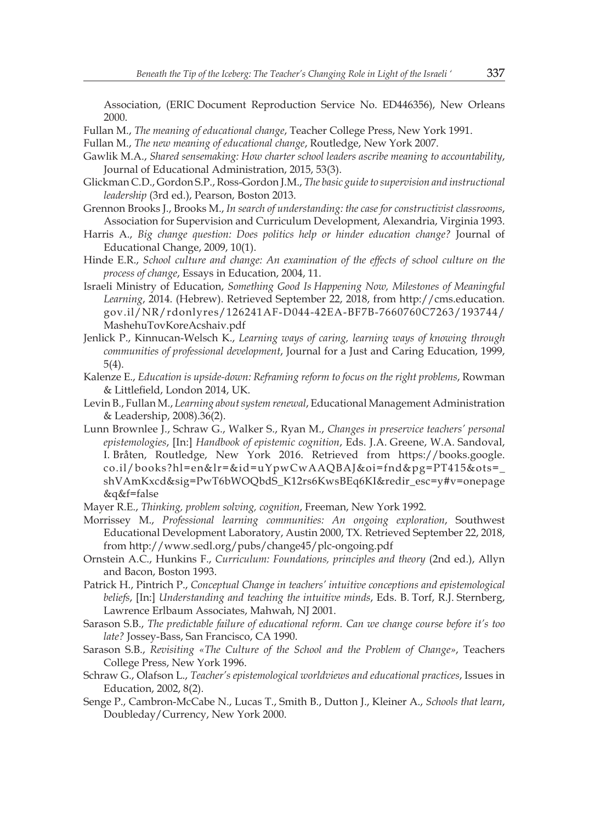Association, (ERIC Document Reproduction Service No. ED446356), New Orleans 2000.

- Fullan M., *The meaning of educational change*, Teacher College Press, New York 1991.
- Fullan M., *The new meaning of educational change*, Routledge, New York 2007.
- Gawlik M.A., *Shared sensemaking: How charter school leaders ascribe meaning to accountability*, Journal of Educational Administration, 2015, 53(3).
- Glickman C.D., Gordon S.P., Ross-Gordon J.M., *The basic guide to supervision and instructional leadership* (3rd ed.), Pearson, Boston 2013.
- Grennon Brooks J., Brooks M., *In search of understanding: the case for constructivist classrooms*, Association for Supervision and Curriculum Development, Alexandria, Virginia 1993.
- Harris A., *Big change question: Does politics help or hinder education change?* Journal of Educational Change, 2009, 10(1).
- Hinde E.R., *School culture and change: An examination of the effects of school culture on the process of change*, Essays in Education, 2004, 11.
- Israeli Ministry of Education, *Something Good Is Happening Now, Milestones of Meaningful Learning*, 2014. (Hebrew). Retrieved September 22, 2018, from http://cms.education. gov.il/NR/rdonlyres/126241AF-D044-42EA-BF7B-7660760C7263/193744/ MashehuTovKoreAcshaiv.pdf
- Jenlick P., Kinnucan-Welsch K., *Learning ways of caring, learning ways of knowing through communities of professional development*, Journal for a Just and Caring Education, 1999, 5(4).
- Kalenze E., *Education is upside-down: Reframing reform to focus on the right problems*, Rowman & Littlefield, London 2014, UK.
- Levin B., Fullan M., *Learning about system renewal*, Educational Management Administration & Leadership, 2008).36(2).
- Lunn Brownlee J., Schraw G., Walker S., Ryan M., *Changes in preservice teachers' personal epistemologies*, [In:] *Handbook of epistemic cognition*, Eds. J.A. Greene, W.A. Sandoval, I. Bråten, Routledge, New York 2016. Retrieved from https://books.google. co.il/books?hl=en&lr=&id=uYpwCwAAQBAJ&oi=fnd&pg=PT415&ots=\_ shVAmKxcd&sig=PwT6bWOQbdS\_K12rs6KwsBEq6KI&redir\_esc=y#v=onepage &q&f=false
- Mayer R.E., *Thinking, problem solving, cognition*, Freeman, New York 1992.
- Morrissey M., *Professional learning communities: An ongoing exploration*, Southwest Educational Development Laboratory, Austin 2000, TX. Retrieved September 22, 2018, from http://www.sedl.org/pubs/change45/plc-ongoing.pdf
- Ornstein A.C., Hunkins F., *Curriculum: Foundations, principles and theory* (2nd ed.), Allyn and Bacon, Boston 1993.
- Patrick H., Pintrich P., *Conceptual Change in teachers' intuitive conceptions and epistemological beliefs*, [In:] *Understanding and teaching the intuitive minds*, Eds. B. Torf, R.J. Sternberg, Lawrence Erlbaum Associates, Mahwah, NJ 2001.
- Sarason S.B., *The predictable failure of educational reform. Can we change course before it's too late?* Jossey-Bass, San Francisco, CA 1990.
- Sarason S.B., *Revisiting «The Culture of the School and the Problem of Change»*, Teachers College Press, New York 1996.
- Schraw G., Olafson L., *Teacher's epistemological worldviews and educational practices*, Issues in Education, 2002, 8(2).
- Senge P., Cambron-McCabe N., Lucas T., Smith B., Dutton J., Kleiner A., *Schools that learn*, Doubleday/Currency, New York 2000.